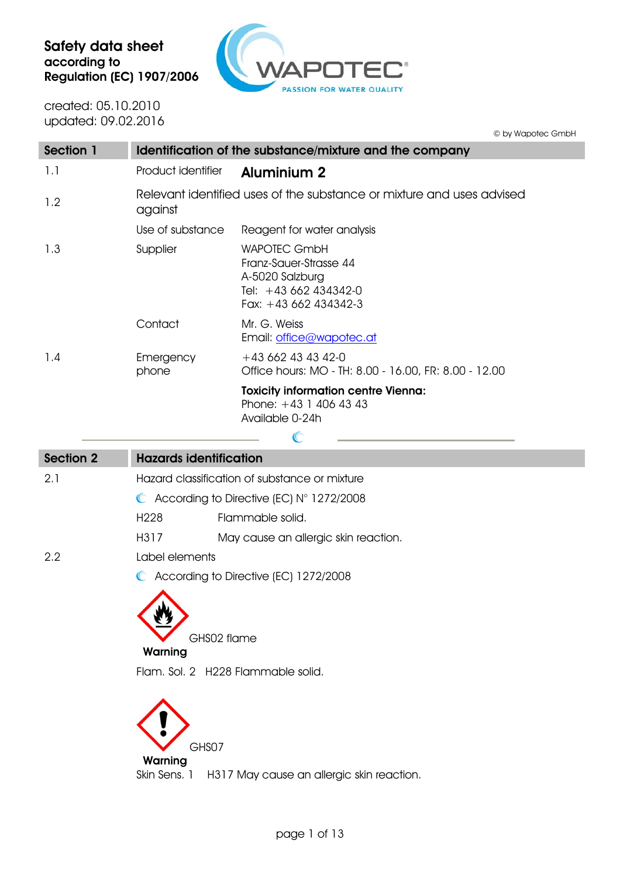

created: 05.10.2010 updated: 09.02.2016

I

|           |                    | © by Wapotec GmbH                                                                                                  |
|-----------|--------------------|--------------------------------------------------------------------------------------------------------------------|
| Section 1 |                    | Identification of the substance/mixture and the company                                                            |
| 1.1       | Product identifier | <b>Aluminium 2</b>                                                                                                 |
| 1.2       | against            | Relevant identified uses of the substance or mixture and uses advised                                              |
|           | Use of substance   | Reagent for water analysis                                                                                         |
| 1.3       | Supplier           | <b>WAPOTEC GmbH</b><br>Franz-Sauer-Strasse 44<br>A-5020 Salzburg<br>Tel: +43 662 434342-0<br>Fax: $+43662434342-3$ |
|           | Contact            | Mr. G. Weiss<br>Email: office@wapotec.at                                                                           |
| 1.4       | Emergency<br>phone | $+436624343420$<br>Office hours: MO - TH: 8.00 - 16.00, FR: 8.00 - 12.00                                           |
|           |                    | <b>Toxicity information centre Vienna:</b><br>Phone: $+43$ 1 406 43 43<br>Available 0-24h                          |
|           |                    |                                                                                                                    |

| <b>Section 2</b> | <b>Hazards identification</b>                      |                                      |  |
|------------------|----------------------------------------------------|--------------------------------------|--|
| 2.1              | Hazard classification of substance or mixture      |                                      |  |
|                  | $\bullet$ According to Directive (EC) N° 1272/2008 |                                      |  |
|                  | H <sub>228</sub>                                   | Flammable solid.                     |  |
|                  | H317                                               | May cause an allergic skin reaction. |  |
| 2.2              | Label elements                                     |                                      |  |
|                  | C According to Directive (EC) 1272/2008            |                                      |  |
|                  | GHS02 flame<br>Warning                             |                                      |  |
|                  | Flam, Sol. 2 H228 Flammable solid.                 |                                      |  |
|                  | GHS07<br>Warning                                   |                                      |  |

Skin Sens. 1 H317 May cause an allergic skin reaction.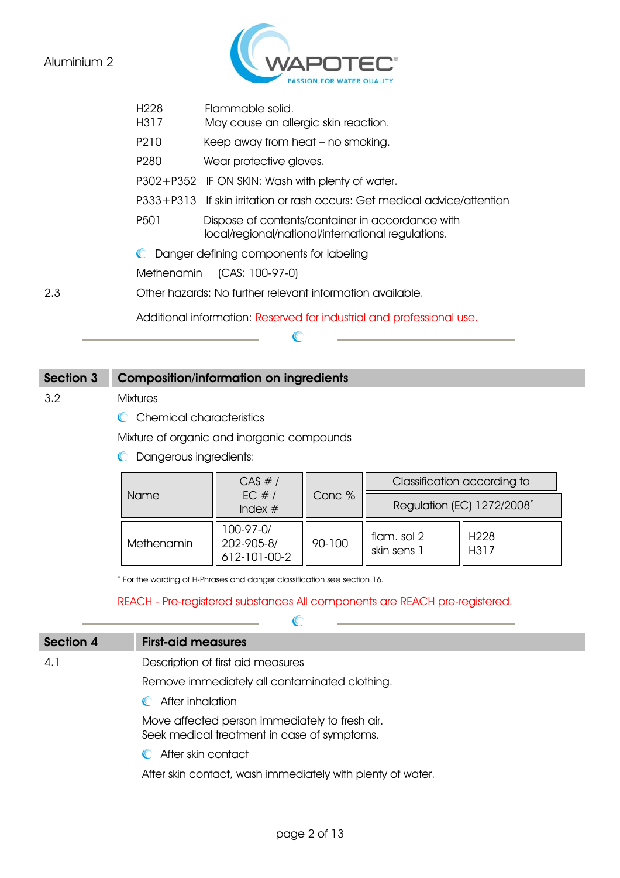

H317 May cause an allergic skin reaction.

P210 Keep away from heat – no smoking.

P280 Wear protective gloves.

P302+P352 IF ON SKIN: Wash with plenty of water.

P333+P313 If skin irritation or rash occurs: Get medical advice/attention

P501 Dispose of contents/container in accordance with local/regional/national/international regulations.

**C** Danger defining components for labeling

Methenamin (CAS: 100-97-0)

2.3 Other hazards: No further relevant information available.

Additional information: Reserved for industrial and professional use.

 $\mathbb{C}$ 

## Section 3 Composition/information on ingredients

3.2 Mixtures

C Chemical characteristics

Mixture of organic and inorganic compounds

**C** Dangerous ingredients:

|            | CAS #/                                  |        |                                        | Classification according to |
|------------|-----------------------------------------|--------|----------------------------------------|-----------------------------|
| Name       | EC $#/$<br>Index $#$                    | Conc % | Regulation (EC) 1272/2008 <sup>*</sup> |                             |
| Methenamin | 100-97-0/<br>202-905-8/<br>612-101-00-2 | 90-100 | flam, sol 2<br>skin sens 1             | H <sub>228</sub><br>H317    |

\* For the wording of H-Phrases and danger classification see section 16.

REACH - Pre-registered substances All components are REACH pre-registered.

| Section 4 | <b>First-aid measures</b>                     |  |  |
|-----------|-----------------------------------------------|--|--|
| 4.1       | Description of first aid measures             |  |  |
|           | Remove immediately all contaminated clothing. |  |  |
|           | After inhalation                              |  |  |

Move affected person immediately to fresh air. Seek medical treatment in case of symptoms.

**C** After skin contact

After skin contact, wash immediately with plenty of water.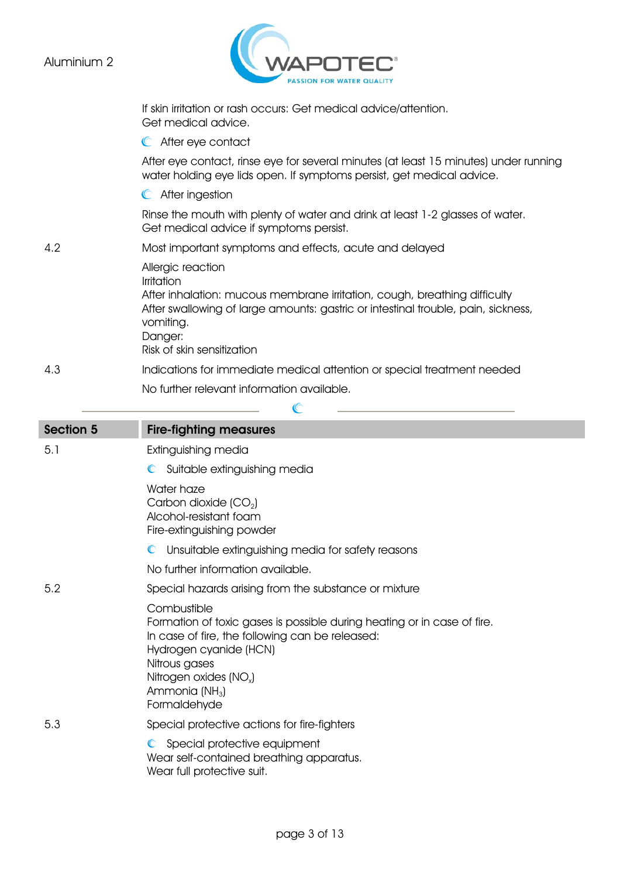

|                  | If skin irritation or rash occurs: Get medical advice/attention.<br>Get medical advice.                                                                                                                                                                 |
|------------------|---------------------------------------------------------------------------------------------------------------------------------------------------------------------------------------------------------------------------------------------------------|
|                  | C After eye contact                                                                                                                                                                                                                                     |
|                  | After eye contact, rinse eye for several minutes (at least 15 minutes) under running<br>water holding eye lids open. If symptoms persist, get medical advice.                                                                                           |
|                  | C After ingestion                                                                                                                                                                                                                                       |
|                  | Rinse the mouth with plenty of water and drink at least 1-2 glasses of water.<br>Get medical advice if symptoms persist.                                                                                                                                |
| 4.2              | Most important symptoms and effects, acute and delayed                                                                                                                                                                                                  |
|                  | Allergic reaction<br>Irritation<br>After inhalation: mucous membrane irritation, cough, breathing difficulty<br>After swallowing of large amounts: gastric or intestinal trouble, pain, sickness,<br>vomiting.<br>Danger:<br>Risk of skin sensitization |
| 4.3              | Indications for immediate medical attention or special treatment needed                                                                                                                                                                                 |
|                  | No further relevant information available.                                                                                                                                                                                                              |
|                  |                                                                                                                                                                                                                                                         |
| <b>Section 5</b> | <b>Fire-fighting measures</b>                                                                                                                                                                                                                           |
| 5.1              | Extinguishing media                                                                                                                                                                                                                                     |
|                  | Suitable extinguishing media<br>$\mathbb{C}$                                                                                                                                                                                                            |
|                  | Water haze                                                                                                                                                                                                                                              |
|                  | Carbon dioxide (CO <sub>2</sub> )<br>Alcohol-resistant foam<br>Fire-extinguishing powder                                                                                                                                                                |
|                  | Unsuitable extinguishing media for safety reasons                                                                                                                                                                                                       |
|                  | No further information available.                                                                                                                                                                                                                       |
| 5.2              | Special hazards arising from the substance or mixture                                                                                                                                                                                                   |

- 5.3 Special protective actions for fire-fighters
	- Special protective equipment Wear self-contained breathing apparatus. Wear full protective suit.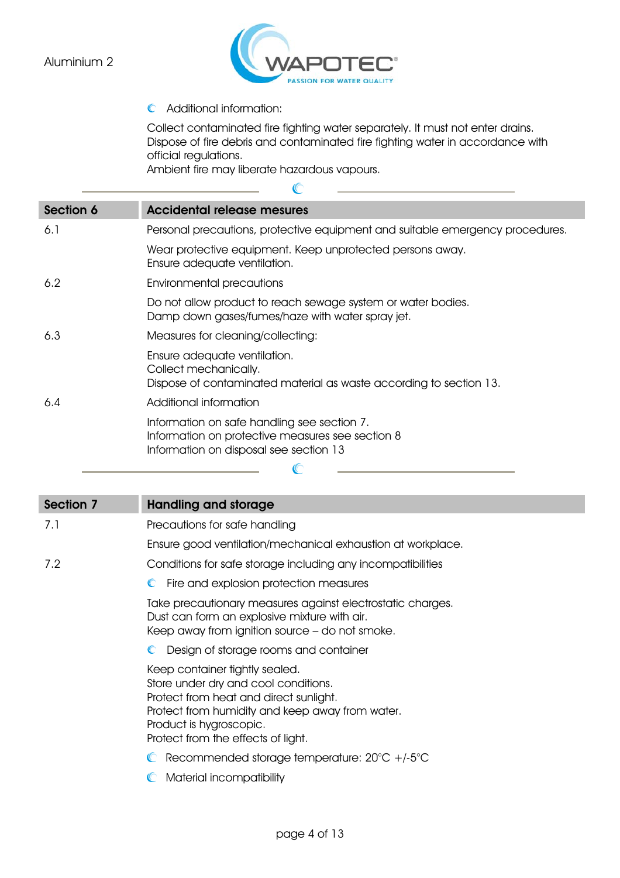

Additional information:

Collect contaminated fire fighting water separately. It must not enter drains. Dispose of fire debris and contaminated fire fighting water in accordance with official regulations.

Ambient fire may liberate hazardous vapours.

 $\mathbb{C}$ 

| Section 6 | <b>Accidental release mesures</b>                                                                                                         |
|-----------|-------------------------------------------------------------------------------------------------------------------------------------------|
| 6.1       | Personal precautions, protective equipment and suitable emergency procedures.                                                             |
|           | Wear protective equipment. Keep unprotected persons away.<br>Ensure adequate ventilation.                                                 |
| 6.2       | Environmental precautions                                                                                                                 |
|           | Do not allow product to reach sewage system or water bodies.<br>Damp down gases/fumes/haze with water spray jet.                          |
| 6.3       | Measures for cleaning/collecting:                                                                                                         |
|           | Ensure adequate ventilation.<br>Collect mechanically.<br>Dispose of contaminated material as waste according to section 13.               |
| 6.4       | Additional information                                                                                                                    |
|           | Information on safe handling see section 7.<br>Information on protective measures see section 8<br>Information on disposal see section 13 |
|           |                                                                                                                                           |

| <b>Section 7</b> | <b>Handling and storage</b>                                                                                                                                                                                                          |
|------------------|--------------------------------------------------------------------------------------------------------------------------------------------------------------------------------------------------------------------------------------|
| 7.1              | Precautions for safe handling                                                                                                                                                                                                        |
|                  | Ensure good ventilation/mechanical exhaustion at workplace.                                                                                                                                                                          |
| 7.2              | Conditions for safe storage including any incompatibilities                                                                                                                                                                          |
|                  | C Fire and explosion protection measures                                                                                                                                                                                             |
|                  | Take precautionary measures against electrostatic charges.<br>Dust can form an explosive mixture with air.<br>Keep away from ignition source - do not smoke.                                                                         |
|                  | Design of storage rooms and container                                                                                                                                                                                                |
|                  | Keep container tightly sealed.<br>Store under dry and cool conditions.<br>Protect from heat and direct sunlight.<br>Protect from humidity and keep away from water.<br>Product is hygroscopic.<br>Protect from the effects of light. |
|                  | Recommended storage temperature: $20^{\circ}C$ +/-5 $^{\circ}C$                                                                                                                                                                      |
|                  | Material incompatibility                                                                                                                                                                                                             |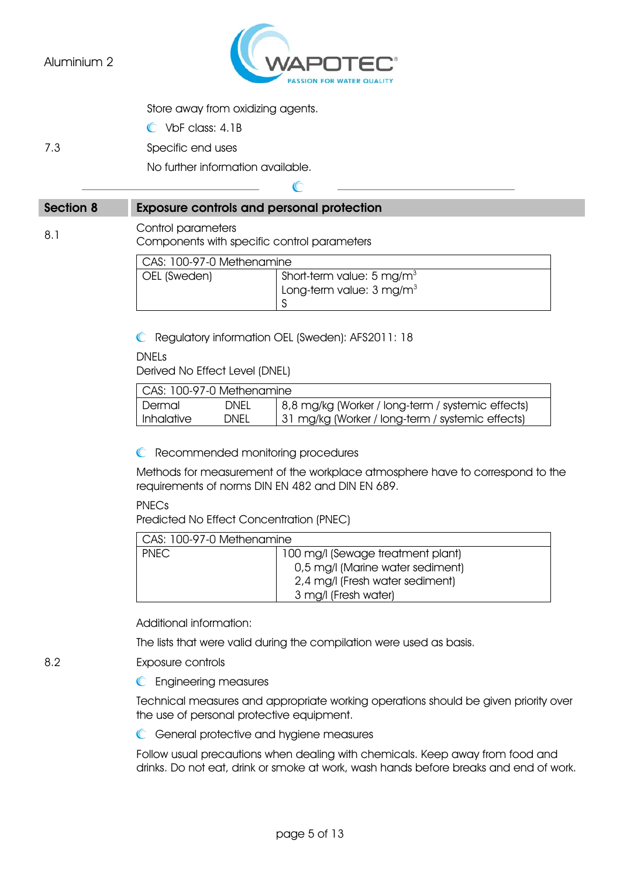

Store away from oxidizing agents.

C VbF class: 4.1B

7.3 Specific end uses

No further information available.

# C Section 8 Exposure controls and personal protection 8.1 Control parameters Components with specific control parameters

| CAS: 100-97-0 Methenamine |                                     |  |
|---------------------------|-------------------------------------|--|
| OEL (Sweden)              | Short-term value: 5 mg/m $3$        |  |
|                           | Long-term value: $3 \text{ mg/m}^3$ |  |
|                           |                                     |  |

Regulatory information OEL (Sweden): AFS2011: 18

DNELs

Derived No Effect Level (DNEL)

| CAS: 100-97-0 Methenamine |             |                                                   |
|---------------------------|-------------|---------------------------------------------------|
| l Dermal                  | <b>DNEL</b> | 8,8 mg/kg (Worker / long-term / systemic effects) |
| Inhalative                | DNEL        | 31 mg/kg (Worker / long-term / systemic effects)  |

**C** Recommended monitoring procedures

Methods for measurement of the workplace atmosphere have to correspond to the requirements of norms DIN EN 482 and DIN EN 689.

PNECs

Predicted No Effect Concentration (PNEC)

| CAS: 100-97-0 Methenamine |                                   |  |
|---------------------------|-----------------------------------|--|
| <b>PNEC</b>               | 100 mg/l (Sewage treatment plant) |  |
|                           | 0,5 mg/l (Marine water sediment)  |  |
|                           | 2,4 mg/l (Fresh water sediment)   |  |
|                           | 3 mg/l (Fresh water)              |  |

Additional information:

The lists that were valid during the compilation were used as basis.

#### 8.2 Exposure controls

**C** Engineering measures

Technical measures and appropriate working operations should be given priority over the use of personal protective equipment.

**C** General protective and hygiene measures

Follow usual precautions when dealing with chemicals. Keep away from food and drinks. Do not eat, drink or smoke at work, wash hands before breaks and end of work.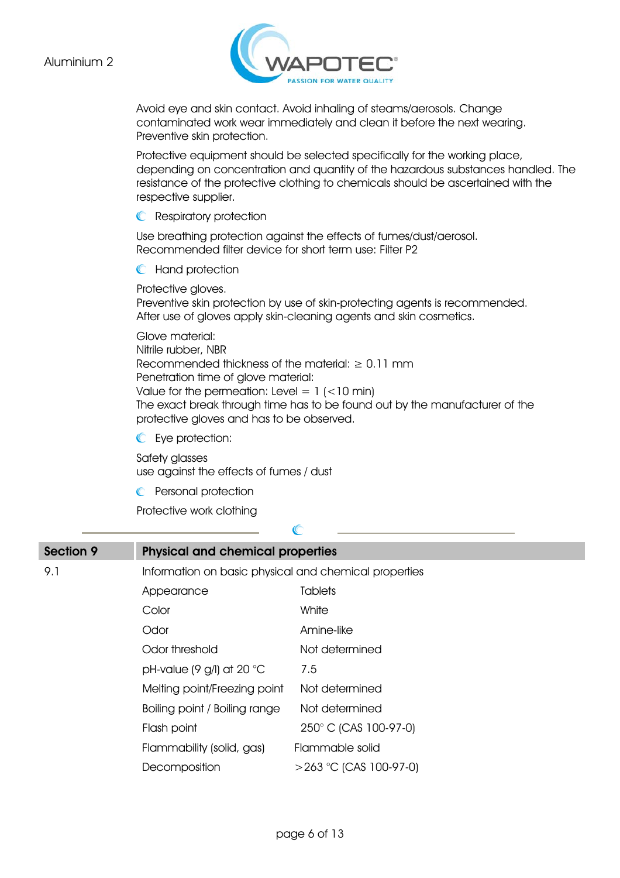

Avoid eye and skin contact. Avoid inhaling of steams/aerosols. Change contaminated work wear immediately and clean it before the next wearing. Preventive skin protection.

Protective equipment should be selected specifically for the working place, depending on concentration and quantity of the hazardous substances handled. The resistance of the protective clothing to chemicals should be ascertained with the respective supplier.

**C** Respiratory protection

Use breathing protection against the effects of fumes/dust/aerosol. Recommended filter device for short term use: Filter P2

**C** Hand protection

Protective gloves.

Preventive skin protection by use of skin-protecting agents is recommended. After use of gloves apply skin-cleaning agents and skin cosmetics.

Glove material: Nitrile rubber, NBR Recommended thickness of the material:  $\geq 0.11$  mm Penetration time of glove material: Value for the permeation: Level =  $1$  (<10 min) The exact break through time has to be found out by the manufacturer of the protective gloves and has to be observed.

Eye protection:

Safety glasses use against the effects of fumes / dust

**C** Personal protection

Protective work clothing

| <b>Section 9</b> | <b>Physical and chemical properties</b>               |                           |  |
|------------------|-------------------------------------------------------|---------------------------|--|
| 9.1              | Information on basic physical and chemical properties |                           |  |
|                  | Appearance                                            | <b>Tablets</b>            |  |
|                  | Color                                                 | White                     |  |
|                  | Odor                                                  | Amine-like                |  |
|                  | Odor threshold                                        | Not determined            |  |
|                  | pH-value (9 g/l) at 20 $^{\circ}$ C                   | 7.5                       |  |
|                  | Melting point/Freezing point                          | Not determined            |  |
|                  | Boiling point / Boiling range                         | Not determined            |  |
|                  | Flash point                                           | 250° C (CAS 100-97-0)     |  |
|                  | Flammability (solid, gas)                             | Flammable solid           |  |
|                  | Decomposition                                         | $>$ 263 °C (CAS 100-97-0) |  |

 $\mathbb{C}$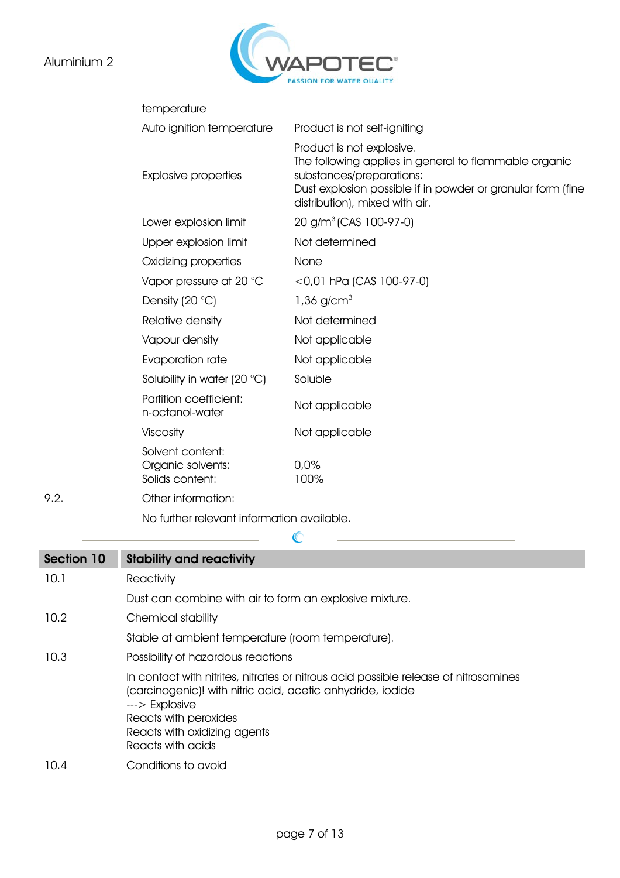## Aluminium 2

 $9.2.$ 



|      | temperature                                              |                                                                                                                                                                                                                 |
|------|----------------------------------------------------------|-----------------------------------------------------------------------------------------------------------------------------------------------------------------------------------------------------------------|
|      | Auto ignition temperature                                | Product is not self-igniting                                                                                                                                                                                    |
|      | <b>Explosive properties</b>                              | Product is not explosive.<br>The following applies in general to flammable organic<br>substances/preparations:<br>Dust explosion possible if in powder or granular form (fine<br>distribution), mixed with air. |
|      | Lower explosion limit                                    | $20$ g/m <sup>3</sup> (CAS 100-97-0)                                                                                                                                                                            |
|      | Upper explosion limit                                    | Not determined                                                                                                                                                                                                  |
|      | Oxidizing properties                                     | None                                                                                                                                                                                                            |
|      | Vapor pressure at 20 $^{\circ}$ C                        | $<$ 0,01 hPa (CAS 100-97-0)                                                                                                                                                                                     |
|      | Density $(20 °C)$                                        | $1,36$ g/cm <sup>3</sup>                                                                                                                                                                                        |
|      | Relative density                                         | Not determined                                                                                                                                                                                                  |
|      | Vapour density                                           | Not applicable                                                                                                                                                                                                  |
|      | Evaporation rate                                         | Not applicable                                                                                                                                                                                                  |
|      | Solubility in water (20 °C)                              | Soluble                                                                                                                                                                                                         |
|      | Partition coefficient:<br>n-octanol-water                | Not applicable                                                                                                                                                                                                  |
|      | Viscosity                                                | Not applicable                                                                                                                                                                                                  |
|      | Solvent content:<br>Organic solvents:<br>Solids content: | 0,0%<br>100%                                                                                                                                                                                                    |
| 9.2. | Other information:                                       |                                                                                                                                                                                                                 |
|      |                                                          |                                                                                                                                                                                                                 |

No further relevant information available.

| Section 10 | <b>Stability and reactivity</b>                                                                                                                                                                                                                      |
|------------|------------------------------------------------------------------------------------------------------------------------------------------------------------------------------------------------------------------------------------------------------|
| 10.1       | Reactivity                                                                                                                                                                                                                                           |
|            | Dust can combine with air to form an explosive mixture.                                                                                                                                                                                              |
| 10.2       | Chemical stability                                                                                                                                                                                                                                   |
|            | Stable at ambient temperature (room temperature).                                                                                                                                                                                                    |
| 10.3       | Possibility of hazardous reactions                                                                                                                                                                                                                   |
|            | In contact with nitrites, nitrates or nitrous acid possible release of nitrosamines<br>(carcinogenic)! with nitric acid, acetic anhydride, iodide<br>$---$ > Explosive<br>Reacts with peroxides<br>Reacts with oxidizing agents<br>Reacts with acids |
| 10.4       | Conditions to avoid                                                                                                                                                                                                                                  |

 $\mathbb{C}$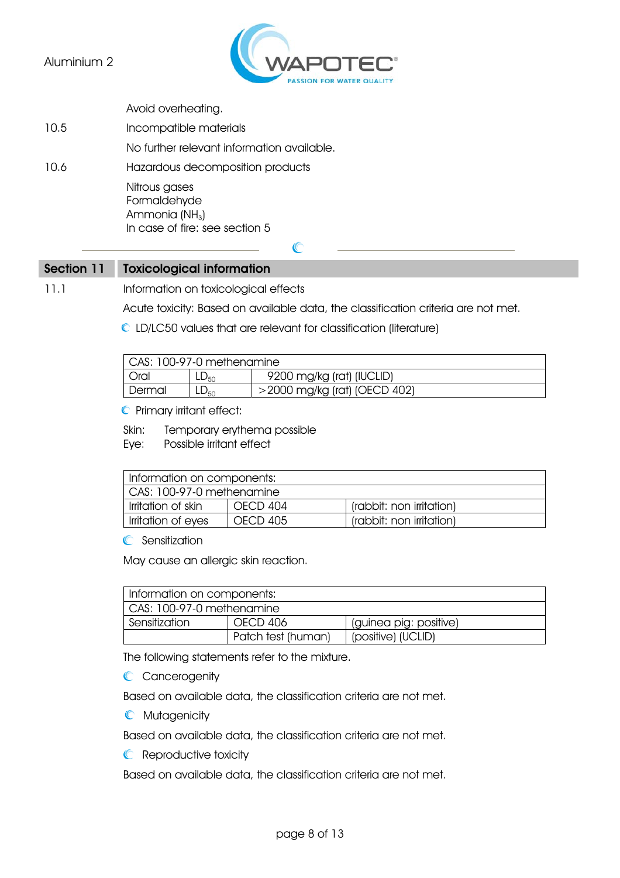

Avoid overheating.

10.5 Incompatible materials No further relevant information available. 10.6 Hazardous decomposition products Nitrous gases Formaldehyde Ammonia  $(NH_3)$ In case of fire: see section 5

#### Section 11 Toxicological information

11.1 Information on toxicological effects

Acute toxicity: Based on available data, the classification criteria are not met.

LD/LC50 values that are relevant for classification (literature)

 $\mathbb{C}$ 

| CAS: 100-97-0 methenamine |                  |                                 |
|---------------------------|------------------|---------------------------------|
| Oral                      | ∟∟ <sub>50</sub> | 9200 mg/kg (rat) (IUCLID)       |
| Dermal                    | $L_{50}$         | $>$ 2000 mg/kg (rat) (OECD 402) |

**C** Primary irritant effect:

Skin: Temporary erythema possible

Eye: Possible irritant effect

| I Information on components: |          |                          |
|------------------------------|----------|--------------------------|
| CAS: 100-97-0 methenamine    |          |                          |
| l Irritation of skin         | OFCD 404 | (rabbit: non irritation) |
| Irritation of eyes           | OFCD 405 | (rabbit: non irritation) |

**C** Sensitization

May cause an allergic skin reaction.

| Information on components: |                    |                        |
|----------------------------|--------------------|------------------------|
| LCAS: 100-97-0 methenamine |                    |                        |
| Sensitization              | OECD 406           | (guinea pig: positive) |
|                            | Patch test (human) | (positive) (UCLID)     |

The following statements refer to the mixture.

C Cancerogenity

Based on available data, the classification criteria are not met.

**C** Mutagenicity

Based on available data, the classification criteria are not met.

**C** Reproductive toxicity

Based on available data, the classification criteria are not met.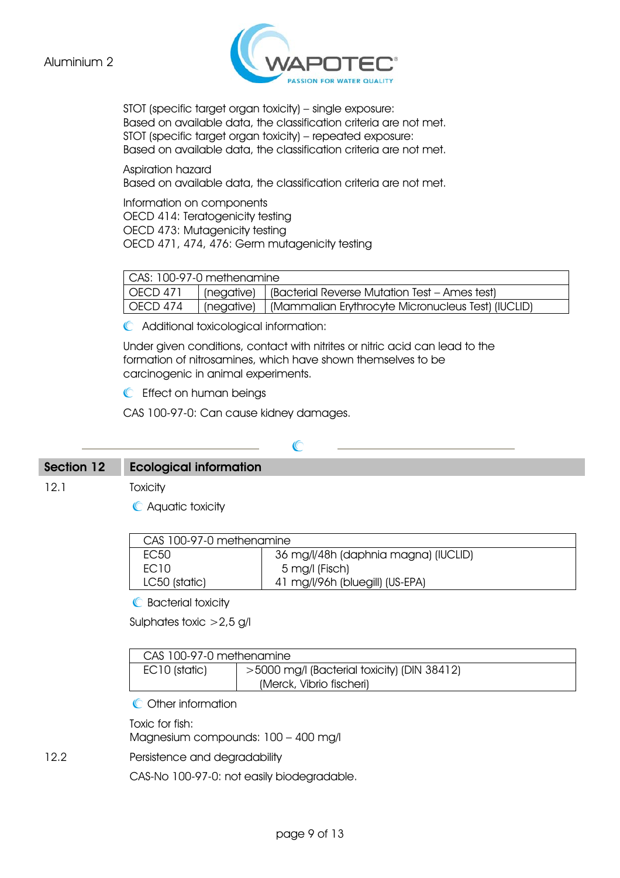

STOT (specific target organ toxicity) – single exposure: Based on available data, the classification criteria are not met. STOT (specific target organ toxicity) – repeated exposure: Based on available data, the classification criteria are not met.

Aspiration hazard Based on available data, the classification criteria are not met.

Information on components OECD 414: Teratogenicity testing OECD 473: Mutagenicity testing OECD 471, 474, 476: Germ mutagenicity testing

| CAS: 100-97-0 methenamine |  |                                                                 |
|---------------------------|--|-----------------------------------------------------------------|
| OECD 471                  |  | (negative)   (Bacterial Reverse Mutation Test – Ames test)      |
| OECD 474                  |  | (negative)   (Mammalian Erythrocyte Micronucleus Test) (IUCLID) |

Additional toxicological information:

Under given conditions, contact with nitrites or nitric acid can lead to the formation of nitrosamines, which have shown themselves to be carcinogenic in animal experiments.

**C** Effect on human beings

CAS 100-97-0: Can cause kidney damages.

## C

#### Section 12 Ecological information

12.1 Toxicity

Aquatic toxicity

| CAS 100-97-0 methenamine |                                      |  |
|--------------------------|--------------------------------------|--|
| FC50                     | 36 mg/l/48h (daphnia magna) (IUCLID) |  |
| <b>FC10</b>              | 5 mg/l (Fisch)                       |  |
| LC50 (static)            | 41 mg/l/96h (bluegill) (US-EPA)      |  |
|                          |                                      |  |

**C** Bacterial toxicity

Sulphates toxic >2,5 g/l

| CAS 100-97-0 methenamine |                                             |  |
|--------------------------|---------------------------------------------|--|
| EC10 (static)            | >5000 mg/l (Bacterial toxicity) (DIN 38412) |  |
|                          | (Merck, Vibrio fischeri)                    |  |

**C** Other information

Toxic for fish:

Magnesium compounds: 100 – 400 mg/l

12.2 Persistence and degradability

CAS-No 100-97-0: not easily biodegradable.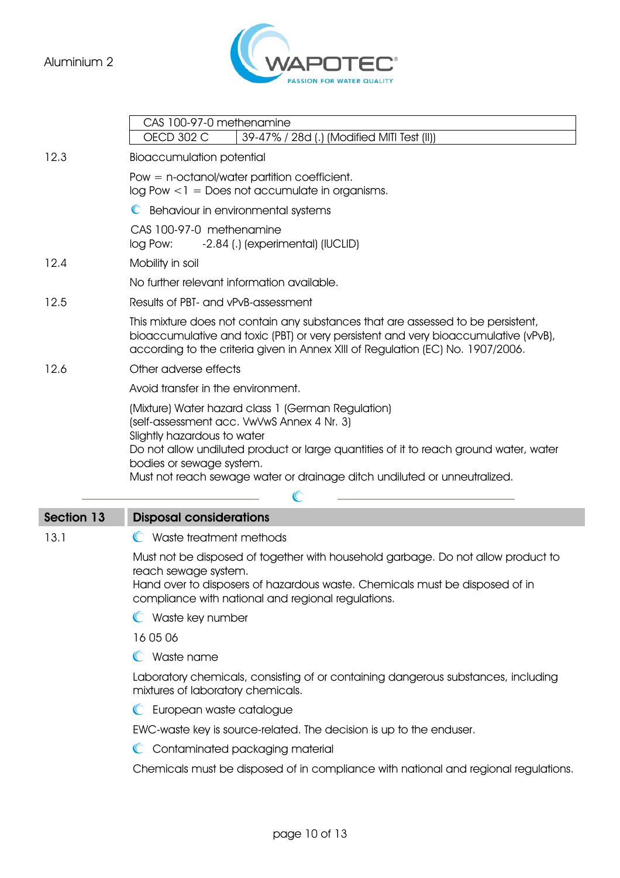

|                   | CAS 100-97-0 methenamine<br><b>OECD 302 C</b><br>39-47% / 28d (.) (Modified MITI Test (II))                                                                                                                                                                                                                                       |  |  |
|-------------------|-----------------------------------------------------------------------------------------------------------------------------------------------------------------------------------------------------------------------------------------------------------------------------------------------------------------------------------|--|--|
| 12.3              | <b>Bioaccumulation potential</b>                                                                                                                                                                                                                                                                                                  |  |  |
|                   | Pow $=$ n-octanol/water partition coefficient.<br>$log Pow < l = Does not accumulate in organisms.$                                                                                                                                                                                                                               |  |  |
|                   | C Behaviour in environmental systems                                                                                                                                                                                                                                                                                              |  |  |
|                   | CAS 100-97-0 methenamine<br>-2.84 (.) (experimental) (IUCLID)<br>log Pow:                                                                                                                                                                                                                                                         |  |  |
| 12.4              | Mobility in soil                                                                                                                                                                                                                                                                                                                  |  |  |
|                   | No further relevant information available.                                                                                                                                                                                                                                                                                        |  |  |
| 12.5              | Results of PBT- and vPvB-assessment                                                                                                                                                                                                                                                                                               |  |  |
|                   | This mixture does not contain any substances that are assessed to be persistent,<br>bioaccumulative and toxic (PBT) or very persistent and very bioaccumulative (vPvB),<br>according to the criteria given in Annex XIII of Regulation (EC) No. 1907/2006.                                                                        |  |  |
| 12.6              | Other adverse effects                                                                                                                                                                                                                                                                                                             |  |  |
|                   | Avoid transfer in the environment.                                                                                                                                                                                                                                                                                                |  |  |
|                   | (Mixture) Water hazard class 1 (German Regulation)<br>(self-assessment acc. VwVwS Annex 4 Nr. 3)<br>Slightly hazardous to water<br>Do not allow undiluted product or large quantities of it to reach ground water, water<br>bodies or sewage system.<br>Must not reach sewage water or drainage ditch undiluted or unneutralized. |  |  |
| <b>Section 13</b> | <b>Disposal considerations</b>                                                                                                                                                                                                                                                                                                    |  |  |
| 13.1              | C Waste treatment methods                                                                                                                                                                                                                                                                                                         |  |  |
|                   | Must not be disposed of together with household garbage. Do not allow product to<br>reach sewage system.<br>Hand over to disposers of hazardous waste. Chemicals must be disposed of in<br>compliance with national and regional regulations.                                                                                     |  |  |
|                   | C Waste key number                                                                                                                                                                                                                                                                                                                |  |  |
|                   | $\cdots$                                                                                                                                                                                                                                                                                                                          |  |  |

16 05 06

Waste name

Laboratory chemicals, consisting of or containing dangerous substances, including mixtures of laboratory chemicals.

**C** European waste catalogue

EWC-waste key is source-related. The decision is up to the enduser.

C Contaminated packaging material

Chemicals must be disposed of in compliance with national and regional regulations.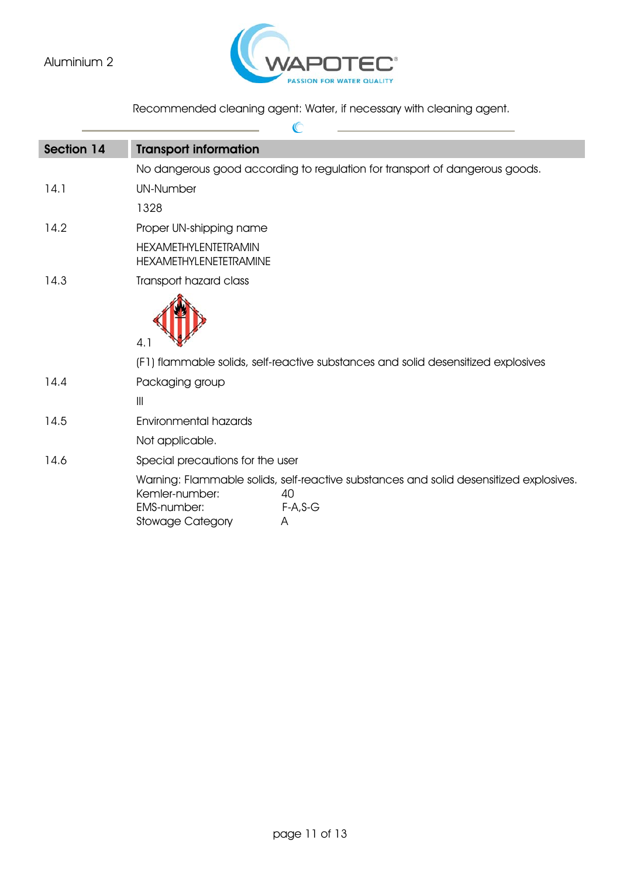### Aluminium 2



 $\sigma$ 

Recommended cleaning agent: Water, if necessary with cleaning agent.

| Section 14 | <b>Transport information</b>                                                                                                                                                       |
|------------|------------------------------------------------------------------------------------------------------------------------------------------------------------------------------------|
|            | No dangerous good according to regulation for transport of dangerous goods.                                                                                                        |
| 14.1       | <b>UN-Number</b>                                                                                                                                                                   |
|            | 1328                                                                                                                                                                               |
| 14.2       | Proper UN-shipping name                                                                                                                                                            |
|            | <b>HEXAMETHYLENTETRAMIN</b><br><b>HEXAMETHYLENETETRAMINE</b>                                                                                                                       |
| 14.3       | Transport hazard class                                                                                                                                                             |
|            | 4.1                                                                                                                                                                                |
|            | (F1) flammable solids, self-reactive substances and solid desensitized explosives                                                                                                  |
| 14.4       | Packaging group                                                                                                                                                                    |
|            | $\frac{1}{2}$                                                                                                                                                                      |
| 14.5       | Environmental hazards                                                                                                                                                              |
|            | Not applicable.                                                                                                                                                                    |
| 14.6       | Special precautions for the user                                                                                                                                                   |
|            | Warning: Flammable solids, self-reactive substances and solid desensitized explosives.<br>Kemler-number:<br>40<br><b>EMS-number:</b><br>$F-A, S-G$<br><b>Stowage Category</b><br>A |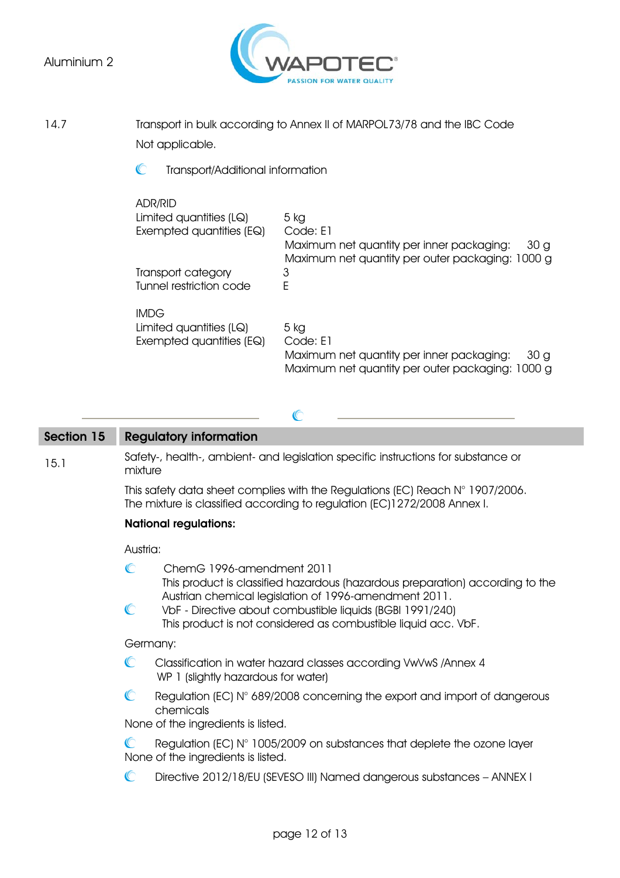#### Aluminium 2



14.7 Transport in bulk according to Annex II of MARPOL73/78 and the IBC Code Not applicable.

> $\mathbb{C}$ Transport/Additional information

| ADR/RID                  |                                                              |
|--------------------------|--------------------------------------------------------------|
| Limited quantities (LQ)  | 5 kg                                                         |
| Exempted quantities (EQ) | Code: F1                                                     |
|                          | Maximum net quantity per inner packaging:<br>30 <sub>g</sub> |
|                          | Maximum net quantity per outer packaging: 1000 g             |
| Transport category       | 3                                                            |
| Tunnel restriction code  | F                                                            |
| <b>IMDG</b>              |                                                              |
| Limited quantities (LQ)  | 5 kg                                                         |
| Exempted quantities (EQ) | Code: E1                                                     |
|                          | Maximum net quantity per inner packaging:<br>30 <sub>g</sub> |
|                          | Maximum net quantity per outer packaging: 1000 g             |
|                          |                                                              |

#### Section 15 Regulatory information

15.1 Safety-, health-, ambient- and legislation specific instructions for substance or mixture

 $\mathbb{C}$ 

This safety data sheet complies with the Regulations (EC) Reach N° 1907/2006. The mixture is classified according to regulation (EC)1272/2008 Annex I.

#### National regulations:

#### Austria:

|              | ChemG 1996-amendment 2011<br>This product is classified hazardous (hazardous preparation) according to the<br>Austrian chemical legislation of 1996-amendment 2011. |
|--------------|---------------------------------------------------------------------------------------------------------------------------------------------------------------------|
| $\mathbb{C}$ | VbF - Directive about combustible liquids (BGBI 1991/240)<br>This product is not considered as combustible liquid acc. VbF.                                         |
|              | Germany:                                                                                                                                                            |
|              | Classification in water hazard classes according VwVwS / Annex 4<br>WP 1 (slightly hazardous for water)                                                             |
|              | Regulation (EC) N° 689/2008 concerning the export and import of dangerous<br>chemicals<br>None of the ingredients is listed.                                        |
|              |                                                                                                                                                                     |
|              | Regulation (EC) N° 1005/2009 on substances that deplete the ozone layer<br>None of the ingredients is listed.                                                       |
|              | Directive 2012/18/EU (SEVESO III) Named dangerous substances - ANNEX I                                                                                              |
|              |                                                                                                                                                                     |